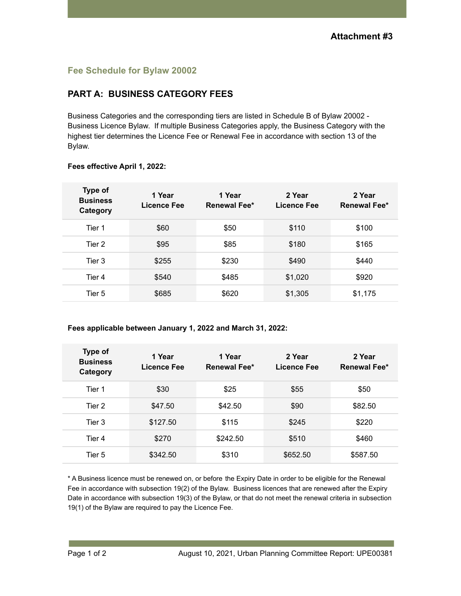# **Fee Schedule for Bylaw 20002**

# **PART A: BUSINESS CATEGORY FEES**

Business Categories and the corresponding tiers are listed in Schedule B of Bylaw 20002 - Business Licence Bylaw. If multiple Business Categories apply, the Business Category with the highest tier determines the Licence Fee or Renewal Fee in accordance with section 13 of the Bylaw.

| Type of<br><b>Business</b><br>Category | 1 Year<br>Licence Fee | 1 Year<br>Renewal Fee* | 2 Year<br>Licence Fee | 2 Year<br><b>Renewal Fee*</b> |
|----------------------------------------|-----------------------|------------------------|-----------------------|-------------------------------|
| Tier 1                                 | \$60                  | \$50                   | \$110                 | \$100                         |
| Tier 2                                 | \$95                  | \$85                   | \$180                 | \$165                         |
| Tier 3                                 | \$255                 | \$230                  | \$490                 | \$440                         |
| Tier 4                                 | \$540                 | \$485                  | \$1,020               | \$920                         |
| Tier 5                                 | \$685                 | \$620                  | \$1,305               | \$1,175                       |

### **Fees effective April 1, 2022:**

**Fees applicable between January 1, 2022 and March 31, 2022:**

| Type of<br><b>Business</b><br>Category | 1 Year<br>Licence Fee | 1 Year<br><b>Renewal Fee*</b> | 2 Year<br>Licence Fee | 2 Year<br><b>Renewal Fee*</b> |
|----------------------------------------|-----------------------|-------------------------------|-----------------------|-------------------------------|
| Tier 1                                 | \$30                  | \$25                          | \$55                  | \$50                          |
| Tier 2                                 | \$47.50               | \$42.50                       | \$90                  | \$82.50                       |
| Tier 3                                 | \$127.50              | \$115                         | \$245                 | \$220                         |
| Tier 4                                 | \$270                 | \$242.50                      | \$510                 | \$460                         |
| Tier 5                                 | \$342.50              | \$310                         | \$652.50              | \$587.50                      |

\* A Business licence must be renewed on, or before the Expiry Date in order to be eligible for the Renewal Fee in accordance with subsection 19(2) of the Bylaw. Business licences that are renewed after the Expiry Date in accordance with subsection 19(3) of the Bylaw, or that do not meet the renewal criteria in subsection 19(1) of the Bylaw are required to pay the Licence Fee.